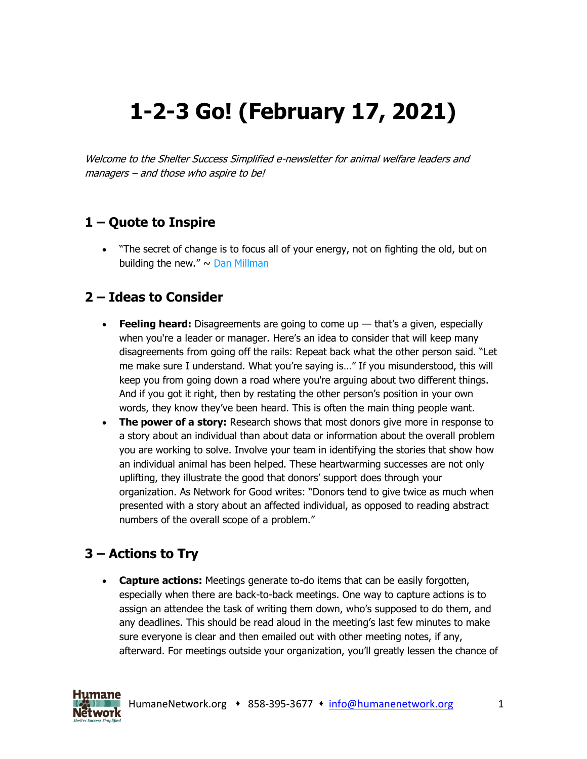# **1-2-3 Go! (February 17, 2021)**

Welcome to the Shelter Success Simplified e-newsletter for animal welfare leaders and managers – and those who aspire to be!

## **1 – Quote to Inspire**

• "The secret of change is to focus all of your energy, not on fighting the old, but on building the new."  $\sim$  [Dan Millman](https://www.humanenetwork.org/so/17NUjz2IO/c?w=mTc0x3-21oW0Xub-rU0-s4RqixKJCs5Okz3DadaQSls.eyJ1IjoiaHR0cHM6Ly9lbi53aWtpcGVkaWEub3JnL3dpa2kvRGFuX01pbGxtYW4iLCJyIjoiNzk5MTUzMmItOWUyNi00NzgxLTQ3NjctM2M4YWJhZDQwMGM1IiwibSI6Im1haWwiLCJjIjoiNWJkMTkzOTgtYTk1Yy00MDAyLThjNjUtMWI2ZWUzNWY0ZjMyIn0)

### **2 – Ideas to Consider**

- **Feeling heard:** Disagreements are going to come up that's a given, especially when you're a leader or manager. Here's an idea to consider that will keep many disagreements from going off the rails: Repeat back what the other person said. "Let me make sure I understand. What you're saying is…" If you misunderstood, this will keep you from going down a road where you're arguing about two different things. And if you got it right, then by restating the other person's position in your own words, they know they've been heard. This is often the main thing people want.
- **The power of a story:** Research shows that most donors give more in response to a story about an individual than about data or information about the overall problem you are working to solve. Involve your team in identifying the stories that show how an individual animal has been helped. These heartwarming successes are not only uplifting, they illustrate the good that donors' support does through your organization. As Network for Good writes: "Donors tend to give twice as much when presented with a story about an affected individual, as opposed to reading abstract numbers of the overall scope of a problem."

## **3 – Actions to Try**

• **Capture actions:** Meetings generate to-do items that can be easily forgotten, especially when there are back-to-back meetings. One way to capture actions is to assign an attendee the task of writing them down, who's supposed to do them, and any deadlines. This should be read aloud in the meeting's last few minutes to make sure everyone is clear and then emailed out with other meeting notes, if any, afterward. For meetings outside your organization, you'll greatly lessen the chance of

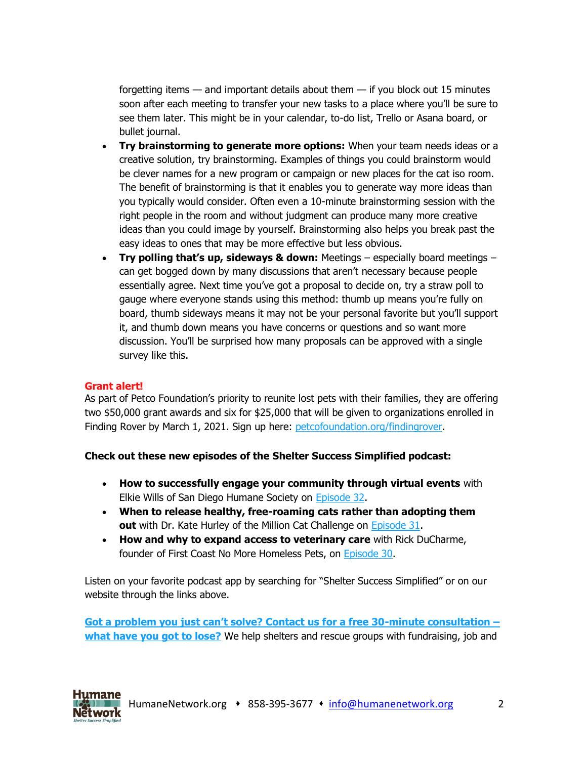forgetting items — and important details about them — if you block out 15 minutes soon after each meeting to transfer your new tasks to a place where you'll be sure to see them later. This might be in your calendar, to-do list, Trello or Asana board, or bullet journal.

- **Try brainstorming to generate more options:** When your team needs ideas or a creative solution, try brainstorming. Examples of things you could brainstorm would be clever names for a new program or campaign or new places for the cat iso room. The benefit of brainstorming is that it enables you to generate way more ideas than you typically would consider. Often even a 10-minute brainstorming session with the right people in the room and without judgment can produce many more creative ideas than you could image by yourself. Brainstorming also helps you break past the easy ideas to ones that may be more effective but less obvious.
- **Try polling that's up, sideways & down:** Meetings especially board meetings can get bogged down by many discussions that aren't necessary because people essentially agree. Next time you've got a proposal to decide on, try a straw poll to gauge where everyone stands using this method: thumb up means you're fully on board, thumb sideways means it may not be your personal favorite but you'll support it, and thumb down means you have concerns or questions and so want more discussion. You'll be surprised how many proposals can be approved with a single survey like this.

#### **Grant alert!**

As part of Petco Foundation's priority to reunite lost pets with their families, they are offering two \$50,000 grant awards and six for \$25,000 that will be given to organizations enrolled in Finding Rover by March 1, 2021. Sign up here: [petcofoundation.org/findingrover.](https://www.humanenetwork.org/so/17NUjz2IO/c?w=4zcdlAOSZSm1X8E0QnMFAB-o5S-2fXFrK8oryzirfOQ.eyJ1IjoiaHR0cHM6Ly93d3cucGV0Y29mb3VuZGF0aW9uLm9yZy9mb3ItcGFydG5lcnMvZmluZGluZy1yb3Zlci1wYXJ0bmVyLWFwcGxpY2F0aW9uLyIsInIiOiI3OTkxNTMyYi05ZTI2LTQ3ODEtNDc2Ny0zYzhhYmFkNDAwYzUiLCJtIjoibWFpbCIsImMiOiI1YmQxOTM5OC1hOTVjLTQwMDItOGM2NS0xYjZlZTM1ZjRmMzIifQ)

#### **Check out these new episodes of the Shelter Success Simplified podcast:**

- **How to successfully engage your community through virtual events** with Elkie Wills of San Diego Humane Society on [Episode 32.](https://www.humanenetwork.org/so/17NUjz2IO/c?w=eJ_Io-qSwUsaYdwoL5I16AqsezOpSXymOA34IHug0Ak.eyJ1IjoiaHR0cHM6Ly93d3cuaHVtYW5lbmV0d29yay5vcmcvZXAzMi1lbGtpZS13aWxscyIsInIiOiI3OTkxNTMyYi05ZTI2LTQ3ODEtNDc2Ny0zYzhhYmFkNDAwYzUiLCJtIjoibWFpbCIsImMiOiI1YmQxOTM5OC1hOTVjLTQwMDItOGM2NS0xYjZlZTM1ZjRmMzIifQ)
- **When to release healthy, free-roaming cats rather than adopting them out** with Dr. Kate Hurley of the Million Cat Challenge on [Episode 31.](https://www.humanenetwork.org/so/17NUjz2IO/c?w=en5JxnZP0S_Saeeimgdbu8ElCOYgvypuLJ5x6ioahCc.eyJ1IjoiaHR0cHM6Ly93d3cuaHVtYW5lbmV0d29yay5vcmcvZXAzMS1rYXRlLWh1cmxleSIsInIiOiI3OTkxNTMyYi05ZTI2LTQ3ODEtNDc2Ny0zYzhhYmFkNDAwYzUiLCJtIjoibWFpbCIsImMiOiI1YmQxOTM5OC1hOTVjLTQwMDItOGM2NS0xYjZlZTM1ZjRmMzIifQ)
- **How and why to expand access to veterinary care** with Rick DuCharme, founder of First Coast No More Homeless Pets, on [Episode 30.](https://www.humanenetwork.org/so/17NUjz2IO/c?w=E_dCtX2JLIm0n8GwNgvRB6NH1TbJrOJixLmDf5SCv5Y.eyJ1IjoiaHR0cHM6Ly93d3cuaHVtYW5lbmV0d29yay5vcmcvZXAzMC1yaWNrLWR1Y2hhcm1lIiwiciI6Ijc5OTE1MzJiLTllMjYtNDc4MS00NzY3LTNjOGFiYWQ0MDBjNSIsIm0iOiJtYWlsIiwiYyI6IjViZDE5Mzk4LWE5NWMtNDAwMi04YzY1LTFiNmVlMzVmNGYzMiJ9)

Listen on your favorite podcast app by searching for "Shelter Success Simplified" or on our website through the links above.

**[Got a problem you just can't solve? Contact us for a free 30](https://www.humanenetwork.org/so/17NUjz2IO/c?w=D33I9sK1BDZrzu78xmC6Ou94_g-Ru-exY_nEhTi2RpU.eyJ1IjoibWFpbHRvOmluZm9AaHVtYW5lbmV0d29yay5vcmc_c3ViamVjdD1GcmVlJTIwMzAtbWludXRlJTIwY29uc3VsdGF0aW9uIiwiciI6Ijc5OTE1MzJiLTllMjYtNDc4MS00NzY3LTNjOGFiYWQ0MDBjNSIsIm0iOiJtYWlsIiwiYyI6IjViZDE5Mzk4LWE5NWMtNDAwMi04YzY1LTFiNmVlMzVmNGYzMiJ9)-minute consultation – what have [you got to lose?](https://www.humanenetwork.org/so/17NUjz2IO/c?w=D33I9sK1BDZrzu78xmC6Ou94_g-Ru-exY_nEhTi2RpU.eyJ1IjoibWFpbHRvOmluZm9AaHVtYW5lbmV0d29yay5vcmc_c3ViamVjdD1GcmVlJTIwMzAtbWludXRlJTIwY29uc3VsdGF0aW9uIiwiciI6Ijc5OTE1MzJiLTllMjYtNDc4MS00NzY3LTNjOGFiYWQ0MDBjNSIsIm0iOiJtYWlsIiwiYyI6IjViZDE5Mzk4LWE5NWMtNDAwMi04YzY1LTFiNmVlMzVmNGYzMiJ9)** We help shelters and rescue groups with fundraising, job and